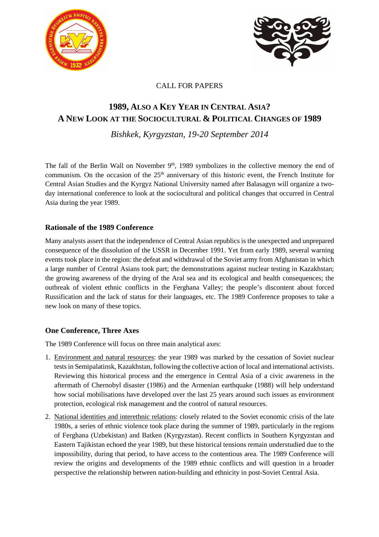



## CALL FOR PAPERS

# **1989, ALSO A KEY YEAR IN CENTRAL ASIA? A NEW LOOK AT THE SOCIOCULTURAL & POLITICAL CHANGES OF 1989**

*Bishkek, Kyrgyzstan, 19-20 September 2014* 

The fall of the Berlin Wall on November  $9<sup>th</sup>$ , 1989 symbolizes in the collective memory the end of communism. On the occasion of the 25<sup>th</sup> anniversary of this historic event, the French Institute for Central Asian Studies and the Kyrgyz National University named after Balasagyn will organize a twoday international conference to look at the sociocultural and political changes that occurred in Central Asia during the year 1989.

## **Rationale of the 1989 Conference**

Many analysts assert that the independence of Central Asian republics is the unexpected and unprepared consequence of the dissolution of the USSR in December 1991. Yet from early 1989, several warning events took place in the region: the defeat and withdrawal of the Soviet army from Afghanistan in which a large number of Central Asians took part; the demonstrations against nuclear testing in Kazakhstan; the growing awareness of the drying of the Aral sea and its ecological and health consequences; the outbreak of violent ethnic conflicts in the Ferghana Valley; the people's discontent about forced Russification and the lack of status for their languages, etc. The 1989 Conference proposes to take a new look on many of these topics.

## **One Conference, Three Axes**

The 1989 Conference will focus on three main analytical axes:

- 1. Environment and natural resources: the year 1989 was marked by the cessation of Soviet nuclear tests in Semipalatinsk, Kazakhstan, following the collective action of local and international activists. Reviewing this historical process and the emergence in Central Asia of a civic awareness in the aftermath of Chernobyl disaster (1986) and the Armenian earthquake (1988) will help understand how social mobilisations have developed over the last 25 years around such issues as environment protection, ecological risk management and the control of natural resources.
- 2. National identities and interethnic relations: closely related to the Soviet economic crisis of the late 1980s, a series of ethnic violence took place during the summer of 1989, particularly in the regions of Ferghana (Uzbekistan) and Batken (Kyrgyzstan). Recent conflicts in Southern Kyrgyzstan and Eastern Tajikistan echoed the year 1989, but these historical tensions remain understudied due to the impossibility, during that period, to have access to the contentious area. The 1989 Conference will review the origins and developments of the 1989 ethnic conflicts and will question in a broader perspective the relationship between nation-building and ethnicity in post-Soviet Central Asia.